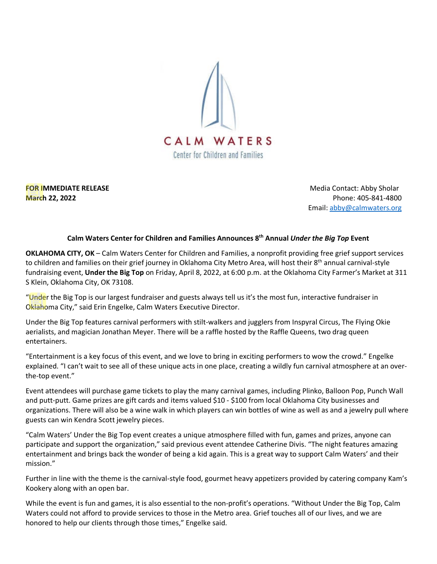

**FOR IMMEDIATE RELEASE Media Contact: Abby Sholar Media Contact: Abby Sholar March 22, 2022** Phone: 405-841-4800 Email: [abby@calmwaters.org](mailto:abby@calmwaters.org)

## **Calm Waters Center for Children and Families Announces 8th Annual** *Under the Big Top* **Event**

**OKLAHOMA CITY, OK** – Calm Waters Center for Children and Families, a nonprofit providing free grief support services to children and families on their grief journey in Oklahoma City Metro Area, will host their 8<sup>th</sup> annual carnival-style fundraising event, **Under the Big Top** on Friday, April 8, 2022, at 6:00 p.m. at the Oklahoma City Farmer's Market at 311 S Klein, Oklahoma City, OK 73108.

"Under the Big Top is our largest fundraiser and guests always tell us it's the most fun, interactive fundraiser in Oklahoma City," said Erin Engelke, Calm Waters Executive Director.

Under the Big Top features carnival performers with stilt-walkers and jugglers from Inspyral Circus, The Flying Okie aerialists, and magician Jonathan Meyer. There will be a raffle hosted by the Raffle Queens, two drag queen entertainers.

"Entertainment is a key focus of this event, and we love to bring in exciting performers to wow the crowd." Engelke explained. "I can't wait to see all of these unique acts in one place, creating a wildly fun carnival atmosphere at an overthe-top event."

Event attendees will purchase game tickets to play the many carnival games, including Plinko, Balloon Pop, Punch Wall and putt-putt. Game prizes are gift cards and items valued \$10 - \$100 from local Oklahoma City businesses and organizations. There will also be a wine walk in which players can win bottles of wine as well as and a jewelry pull where guests can win Kendra Scott jewelry pieces.

"Calm Waters' Under the Big Top event creates a unique atmosphere filled with fun, games and prizes, anyone can participate and support the organization," said previous event attendee Catherine Divis. "The night features amazing entertainment and brings back the wonder of being a kid again. This is a great way to support Calm Waters' and their mission."

Further in line with the theme is the carnival-style food, gourmet heavy appetizers provided by catering company Kam's Kookery along with an open bar.

While the event is fun and games, it is also essential to the non-profit's operations. "Without Under the Big Top, Calm Waters could not afford to provide services to those in the Metro area. Grief touches all of our lives, and we are honored to help our clients through those times," Engelke said.